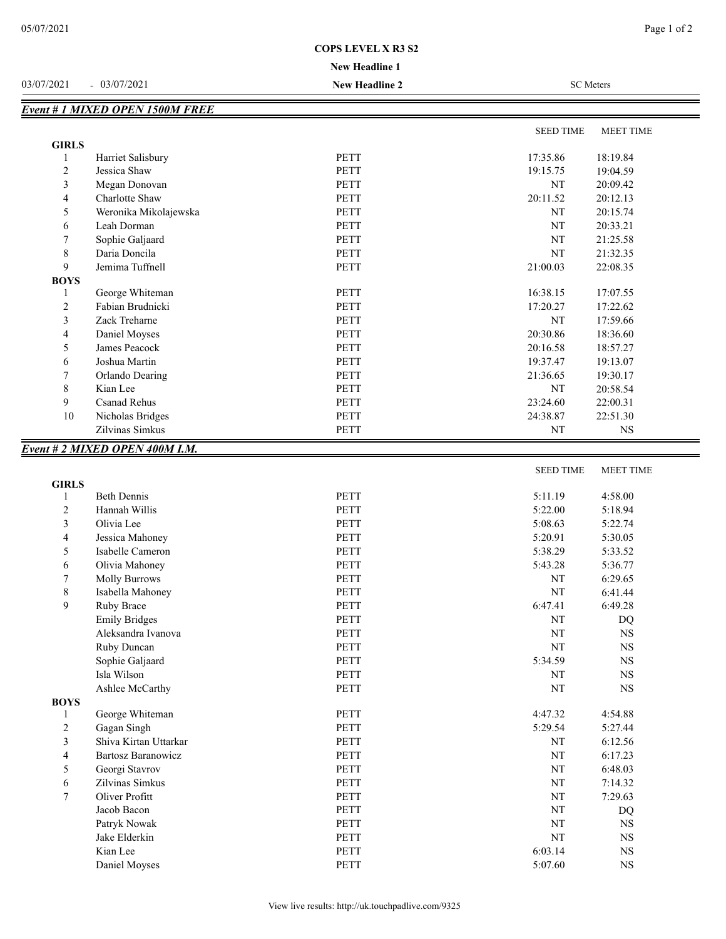## **COPS LEVEL X R3 S2**

## **New Headline 1**

03/07/2021 - 03/07/2021 **New Headline 2** SC Meters

|              |                       |             | <b>SEED TIME</b> | <b>MEET TIME</b> |
|--------------|-----------------------|-------------|------------------|------------------|
| <b>GIRLS</b> |                       |             |                  |                  |
|              | Harriet Salisbury     | PETT        | 17:35.86         | 18:19.84         |
| 2            | Jessica Shaw          | <b>PETT</b> | 19:15.75         | 19:04.59         |
| 3            | Megan Donovan         | <b>PETT</b> | NT               | 20:09.42         |
| 4            | Charlotte Shaw        | <b>PETT</b> | 20:11.52         | 20:12.13         |
| 5            | Weronika Mikolajewska | <b>PETT</b> | <b>NT</b>        | 20:15.74         |
| 6            | Leah Dorman           | <b>PETT</b> | NT               | 20:33.21         |
|              | Sophie Galjaard       | <b>PETT</b> | NT               | 21:25.58         |
| 8            | Daria Doncila         | PETT        | NT               | 21:32.35         |
| 9            | Jemima Tuffnell       | <b>PETT</b> | 21:00.03         | 22:08.35         |
| <b>BOYS</b>  |                       |             |                  |                  |
|              | George Whiteman       | <b>PETT</b> | 16:38.15         | 17:07.55         |
| 2            | Fabian Brudnicki      | PETT        | 17:20.27         | 17:22.62         |
| 3            | Zack Treharne         | <b>PETT</b> | NT               | 17:59.66         |
| 4            | Daniel Moyses         | <b>PETT</b> | 20:30.86         | 18:36.60         |
| 5            | James Peacock         | <b>PETT</b> | 20:16.58         | 18:57.27         |
| 6            | Joshua Martin         | <b>PETT</b> | 19:37.47         | 19:13.07         |
| 7            | Orlando Dearing       | <b>PETT</b> | 21:36.65         | 19:30.17         |
| 8            | Kian Lee              | PETT        | <b>NT</b>        | 20:58.54         |
| 9            | <b>Csanad Rehus</b>   | <b>PETT</b> | 23:24.60         | 22:00.31         |
| 10           | Nicholas Bridges      | PETT        | 24:38.87         | 22:51.30         |
|              | Zilvinas Simkus       | <b>PETT</b> | NT               | NS.              |

## SEED TIME MEET TIME **GIRLS** 1 Beth Dennis 2018 12:00 PETT 5:11.19 4:58.00 2 Hannah Willis **PETT** 5:22.00 5:18.94 3 Olivia Lee **PETT** 5:08.63 5:22.74 4 Jessica Mahoney **PETT** 5:20.91 5:30.05 5 Isabelle Cameron PETT 5:38.29 5:33.52 6 Olivia Mahoney PETT 5:43.28 5:36.77 7 Molly Burrows 2006 PETT NT 6:29.65 8 Isabella Mahoney **PETT** NT 6:41.44 9 Ruby Brace **PETT** 6:49.28 Emily Bridges PETT NT DQ Aleksandra Ivanova PETT NT NS Ruby Duncan NT NS Sophie Galjaard **PETT** 5:34.59 NS Isla Wilson NT NS Ashlee McCarthy **PETT** NT NT NS **BOYS** 1 George Whiteman **PETT** 4:47.32 4:54.88 2 Gagan Singh 5:29.54 5:27.44 3 Shiva Kirtan Uttarkar PETT NT 6:12.56 4 Bartosz Baranowicz **PETT** NT 6:17.23 5 Georgi Stavrov PETT NT 6:48.03 6 Zilvinas Simkus **PETT** NT 7:14.32 7 Oliver Profitt **PETT** NT 7:29.63 Jacob Bacon and the set of the PETT and the Second PETT of the Second PETT of the Second PETT of the Second PETT Patryk Nowak 2008 PETT 2008 NT 2008 NT 2008 NT 2008 NT 2008 NT 2008 NT 2008 NT 2008 NT 2008 NT 2008 NT 2008 NT 2008 NT 2008 NT 2008 NT 2008 NT 2008 NT 2008 NT 2008 NT 2008 NT 2008 NT 2008 NT 2008 NT 2008 NT 2008 NT 2008 NT Jake Elderkin NT NS Kian Lee **Reading Community Community PETT** 6:03.14 NS Daniel Moyses **PETT** 5:07.60 NS